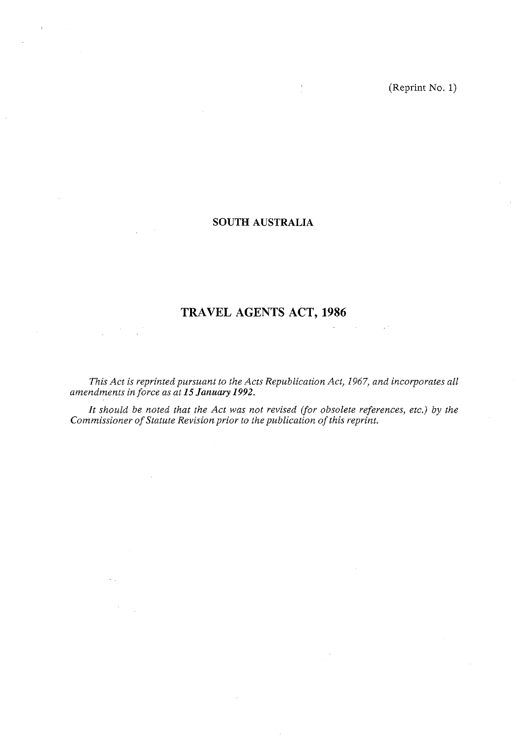(Reprint No. 1)

# **SOUTH AUSTRALIA**

# **TRAVEL AGENTS ACT, 1986**

*This Act is reprinted pursuant to the Acts Republication Act, 1967, and incorporates all amendments in force as at 15 January 1992.* 

*It should be noted that the Act was not revised (for obsolete references, etc.) by the Commissioner of Statute Revision prior to the publication of this reprint.*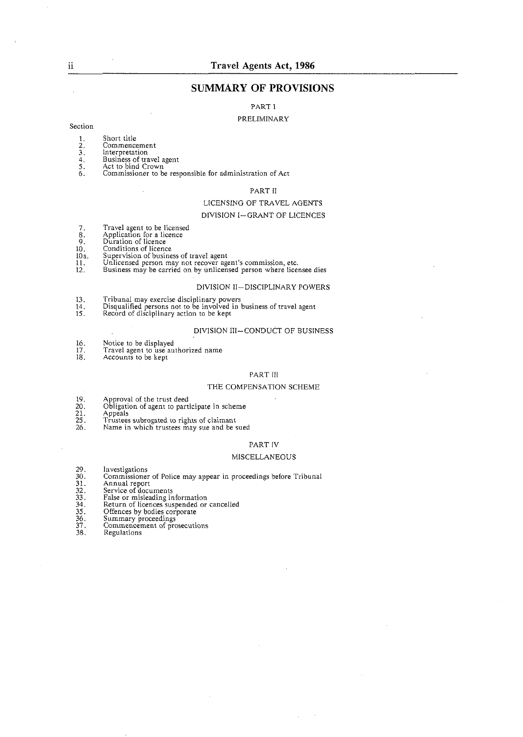# **SUMMARY OF PROVISIONS**

PART 1

#### PRELIMINARY

#### Section

- Short title  $\mathbf{1}$ .
- $\frac{1}{3}$ . Commencement
- Interpretation
- $\tilde{4}$ .
- $\overline{5}$ :<br>6.
- Business of travel agent Act to bind Crown Commissioner to be responsible for administration of Act

#### PART II

#### LICENSING OF TRAVEL AGENTS

#### DIVISION I-GRANT OF LICENCES

- $7.8.9.10.10.$ Travel agent to be licensed Application for a licence Duration of licence
- 
- 
- 
- Conditions of licence<br>Supervision of business of travel agent  $10a$ .
- $\tilde{\mathbf{H}}$ . Unlicensed person may not recover agent's commission, etc.
- $12<sup>°</sup>$ Business may be carried on by unlicensed person where licensee dies

#### DIVISION 11-DISCIPLINARY POWERS

- 13.
- Tribunal may exercise disciplinary powers<br>Disqualified persons not to be involved in business of travel agent<br>Record of disciplinary action to be kept  $\frac{14}{15}$ .
- 

#### DIVISION III-CONDUCT OF BUSINESS

- $16.$
- Notice to be displayed<br>Travel agent to use authorized name<br>Accounts to be kept  $\frac{17}{18}$ .
- 

#### PART III

#### THE COMPENSATION SCHEME

- 19. Approval of the trust deed
- Obligation of agent to participate in scheme
- 
- $\frac{20}{21}$ <br> $\frac{21}{25}$ <br> $\frac{25}{26}$ . Appeals Trustees subrogated to rights of claimant
- Name in which trustees may sue and be sued

# PART IV

#### MISCELLANEOUS

- 29.30.1.32.33.33.35.36.37. Investigations
- Commissioner of Police may appear in proceedings before Tribunal
- Annual report
- Service of documents
- 
- 
- 
- Summary proceedings
- Commencement of prosecutions
- 38. Regulations

ii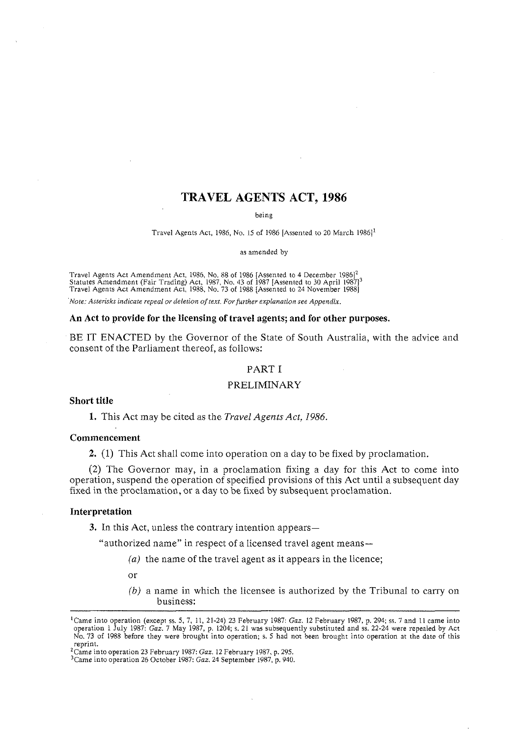# **TRAVEL AGENTS ACT, 1986**

being

Travel Agents Act, 1986, No. 15 of 1986 [Assented to 20 March 1986]<sup>1</sup>

as amended by

Travel Agents Act Amendment Act, 1986, No. 88 of 1986 [Assented to 4 December 1986]<sup>2</sup><br>Statutes Amendment (Fair Trading) Act, 1987, No. 43 of 1987 [Assented to 30 April 1987]<sup>3</sup><br>Travel Agents Act Amendment Act, 1988, No. 7

*rVote: Asterisks indicate repeal or deletion of text. For further explanation see Appendix.* 

#### **An Act to provide for the licensing of travel agents; and for other purposes.**

BE IT ENACTED by the Governor of the State of South Australia, with the advice and consent of the Parliament thereof, as follows:

#### PART I

# PRELIMINARY

#### **Short title**

**1.** This Act may be cited as the *Travel Agents* Act, 1986.

#### **Commencement**

**2.** (1) This Act shall come into operation on a day to be fixed by proclamation.

(2) The Governor may, in a proclamation fixing a day for this Act to come into operation, suspend the operation of specified provisions of this Act until a subsequent day fixed in the proclamation, or a day to be fixed by subsequent proclamation.

#### **Interpretation**

**3.** In this Act, unless the contrary intention appears—

"authorized name" in respect of a licensed travel agent means-

- (a) the name of the travel agent as it appears in the licence;
- or
- (b) a name in which the licensee is authorized by the Tribunal to carry on business:

<sup>&#</sup>x27;Came into operation (except ss. 5, 7, 11, 21-24) 23 February 1987: *Gaz.* 12 February 1987, p. 294; ss. 7 and I1 came into operation I July 1987: *Gaz.* 7 May 1987, p. 1204; **s.** 21 was subsequently substituted and ss. 22-24 were repealed by Act No. 73 of 1988 before they were brought into operation; s. *5* had not been brought into operation at the date of this reprint.

<sup>&#</sup>x27;Came into operation 23 February 1987: *Guz.* 12 February 1987, p. 295.

<sup>&</sup>lt;sup>3</sup>Came into operation 26 October 1987: *Gaz*. 24 September 1987, p. 940.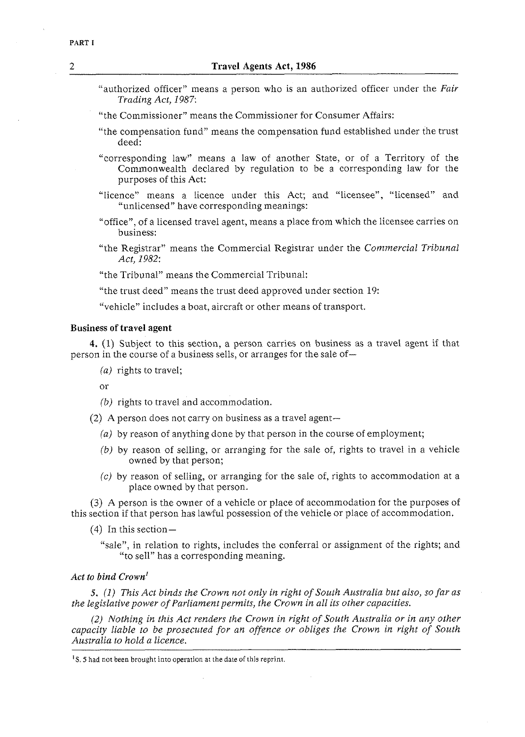- "authorized officer" means a person who is an authorized officer under the *Fair Trading Act, 1987:*
- "the Commissioner" means the Commissioner for Consumer Affairs:
- "the compensation fund" means the compensation fund established under the trust deed:
- "corresponding law" means a law of another State, or of a Territory of the Commonwealth declared by regulation to be a corresponding law for the purposes of this Act:
- "licence" means a licence under this Act; and "licensee", "licensed" and "unlicensed" have corresponding meanings:
- "office", of a licensed travel agent, means a place from which the licensee carries on business:
- "the Registrar" means the Commercial Registrar under the *Commercial Tribunal Act, 1982:*
- "the Tribunal" means the Commercial Tribunal:
- "the trust deed" means the trust deed approved under section 19:
- "vehicle" includes a boat, aircraft or other means of transport.

# *Business* **of** *travel agent*

4. (1) Subject to this section, a person carries on business as a travel agent if that person in the course of a business sells, or arranges for the sale of-

*(a)* rights to travel;

<sub>or</sub>

- *(b)* rights to travel and accommodation.
- (2) A person does not carry on business as a travel agent-
	- *(a)* by reason of anything done by that person in the course of employment;
	- *(b)* by reason of selling, or arranging for the sale of, rights to travel in a vehicle owned by that person;
	- *(c)* by reason of selling, or arranging for the sale of, rights to accommodation at a place owned by that person.

**(3)** A person is the owner of a vehicle or place of accommodation for the purposes of this section if that person has lawful possession of the vehicle or place of accommodation.

 $(4)$  In this section —

"sale", in relation to rights, includes the conferral or assignment of the rights; and "to sell" has a corresponding meaning.

# *Act to bind Crown'*

*5.* (1) *This Act binds the Crown not only in right of South Australia but also, so far as the legislative power of Parliament permits, the Crown in all its other capacities.* 

*(2) Nothing in this Act renders the Crown in right of South Australia or in any other capacity liable to be prosecuted for an offence or obliges the Crown in right of South Australia to hold a licence.* 

 $<sup>1</sup>S$ . 5 had not been brought into operation at the date of this reprint.</sup>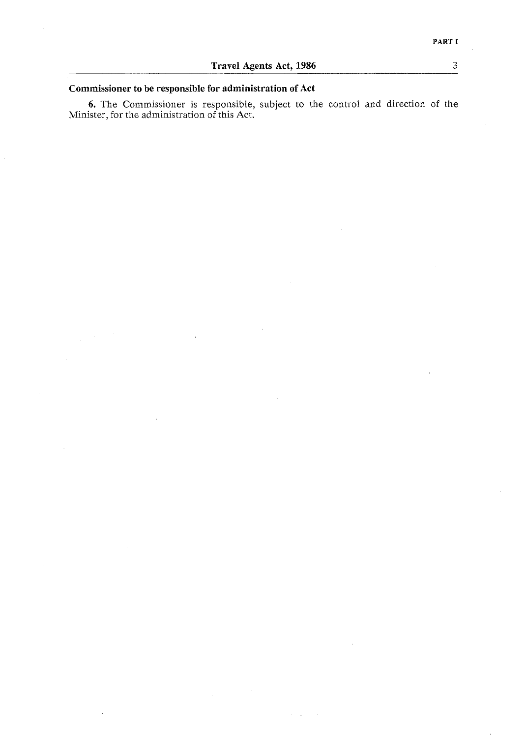$\overline{3}$ 

# **Commissioner to be responsible for administration of Act**

**6.** The Commissioner is responsible, subject to the control and direction of the Minister. for the administration of this Act.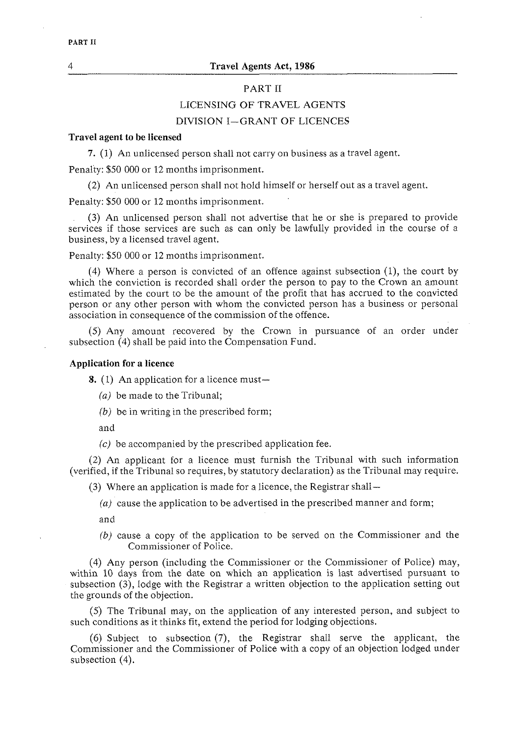# PART I1

# LICENSING OF TRAVEL AGENTS

# DIVISION I-GRANT OF LICENCES

# **Travel agent to be licensed**

**7.** (1) An unlicensed person shall not carry on business as a travel agent.

Penalty: \$50 000 or 12 months imprisonment.

(2) An unlicensed person shall not hold himself or herself out as a travel agent.

Penalty: \$50 000 or 12 months imprisonment.

(3) An unlicensed person shall not advertise that he or she is prepared to provide services if those services are such as can only be lawfully provided in the course of a business, by a licensed travel agent.

Penalty: \$50 000 or 12 months imprisonment.

(4) Where a person is convicted of an offence against subsection (I), the court by which the conviction is recorded shall order the person to pay to the Crown an amount estimated by the court to be the amount of the profit that has accrued to the convicted person or any other person with whom the convicted person has a business or personal association in consequence of the commission of the offence.

(5) Any amount recovered by the Crown in pursuance of an order under subsection (4) shall be paid into the Compensation Fund.

# **Application for a licence**

**8.** (1) An application for a licence must-

*(a)* be made to the Tribunal;

*(b)* be in writing in the prescribed form;

and

*(c)* be accompanied by the prescribed application fee.

(2) An applicant for a licence must furnish the Tribunal with such information (verified, if the Tribunal so requires, by statutory declaration) as the Tribunal may require.

(3) Where an application is made for a licence, the Registrar shall-

*(a)* cause the application to be advertised in the prescribed manner and form;

and

*(b)* cause a copy of the application to be served on the Commissioner and the Commissioner of Police.

(4) Any person (including the Commissioner or the Commissioner of Police) may, within 10 days from the date on which an application is last advertised pursuant to subsection (3), lodge with the Registrar a written objection to the application setting out the grounds of the objection.

(5) The Tribunal may, on the application of any interested person, and subject to such conditions as it thinks fit, extend the period for lodging objections.

(6) Subject to subsection (7), the Registrar shall serve the applicant, the Commissioner and the Commissioner of Police with a copy of an objection lodged under subsection (4).

PART II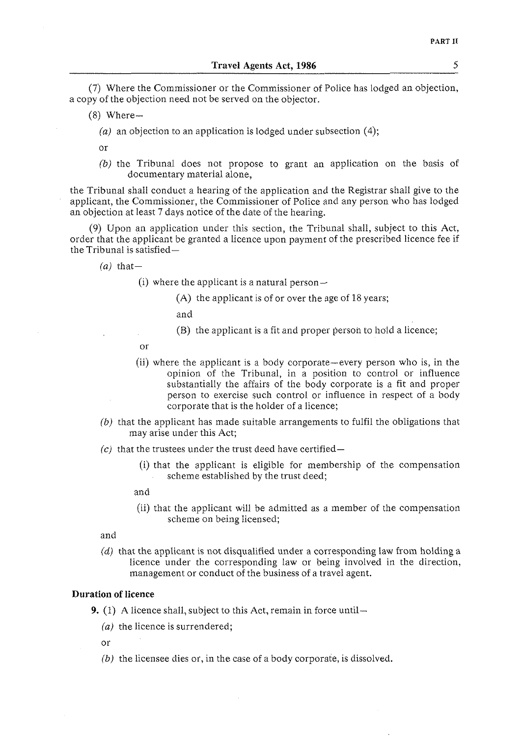(7) Where the Commissioner or the Commissioner of Police has lodged an objection, a copy of the objection need not be served on the objector.

- $(8)$  Where-
	- *(a)* an objection to an application is lodged under subsection (4);

or

*(b)* the Tribunal does not propose to grant an application on the basis of documentary material alone,

the Tribunal shall conduct a hearing of the application and the Registrar shall give to the applicant, the Commissioner, the Commissioner of Police and any person who has lodged an objection at least 7 days notice of the date of the hearing.

(9) Upon an application under this section, the Tribunal shall, subject to this Act, order that the applicant be granted a licence upon payment of the prescribed licence fee if the Tribunal is satisfied-

 $(a)$  that-

- (i) where the applicant is a natural person $-$ 
	- (A) the applicant is of or over the age of 18 years;

and

- (B) the applicant is a fit and proper person to hold a licence;
- or
- (ii) where the applicant is a body corporate-every person who is, in the opinion of the Tribunal, in a position to control or influence substantially the affairs of the body corporate is a fit and proper person to exercise such control or influence in respect of a body corporate that is the holder of a licence;
- *(b)* that the applicant has made suitable arrangements to fulfil the obligations that may arise under this Act;
- $(c)$  that the trustees under the trust deed have certified-
	- (i) that the applicant is eligible for membership of the compensation scheme established by the trust deed;

and

(ii) that the applicant will be admitted as a member of the compensation scheme on being licensed;

and

(d) that the applicant is not disqualified under a corresponding law from holding a licence under the corresponding law or being involved in the direction, management or conduct of the business of a travel agent.

# **Duration of licence**

**9.** (1) A licence shall, subject to this Act, remain in force until—

*(a)* the licence is surrendered;

or

*(b)* the licensee dies or, in the case of a body corporate, is dissolved.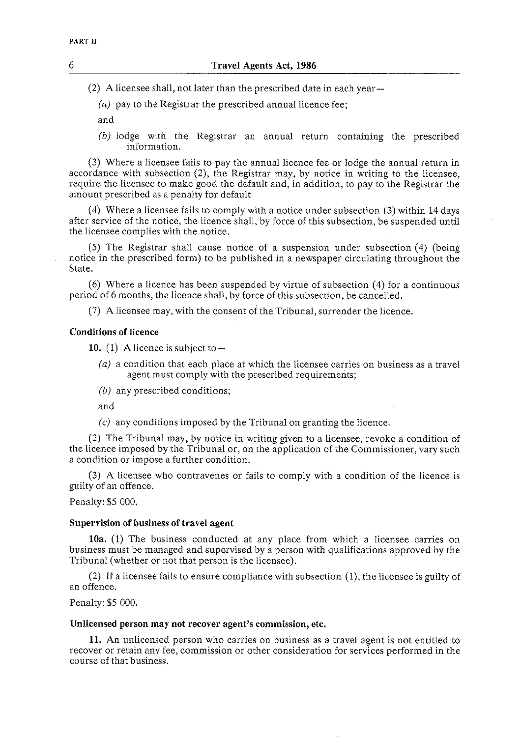(2) A licensee shall, not later than the prescribed date in each year-

(a) pay to the Registrar the prescribed annual licence fee;

and

(b) lodge with the Registrar an annual return containing the prescribed information.

(3) Where a licensee fails to pay the annual licence fee or lodge the annual return in accordance with subsection (2), the Registrar may, by notice in writing to the licensee, require the licensee to make good the default and, in addition, to pay to the Registrar the amount prescribed as a penalty for default

(4) Where a licensee fails to comply with a notice under subsection **(3)** within 14 days after service of the notice, the licence shall, by force of this subsection, be suspended until the licensee complies with the notice.

(5) The Registrar shall cause notice of a suspension under subsection (4) (being notice in the prescribed form) to be published in a newspaper circulating throughout the State.

(6) Where a licence has been suspended by virtue of subsection (4) for a continuous period of 6 months, the licence shall, by force of this subsection, be cancelled.

(7) A licensee may, with the consent of the Tribunal, surrender the licence.

# **Conditions of licence**

10.  $(1)$  A licence is subject to  $-$ 

- (a) a condition that each place at which the licensee carries on business as a travel agent must comply with the prescribed requirements;
- (b) any prescribed conditions;

and

(c) any conditions imposed by the Tribunal on granting the licence.

(2) The Tribunal may, by notice in writing given to a licensee, revoke a condition of the licence imposed by the Tribunal or, on the application of the Commissioner, vary such a condition or impose a further condition.

(3) A licensee who contravenes or fails to comply with a condition of the licence is guilty of an offence.

Penalty: \$5 000.

## **Supervision of business of travel agent**

**10a.** (1) The business conducted at any place from which a licensee carries on business must be managed and supervised by a person with qualifications approved by the Tribunal (whether or not that person is the licensee).

(2) If a licensee fails to ensure compliance with subsection (I), the licensee is guilty of an offence.

Penalty: \$5 000.

#### **Unlicensed person may not recover agent's commission, etc.**

11. An unlicensed person who carries on business as a travel agent is not entitled to recover or retain any fee, commission or other consideration for services performed in the course of that business.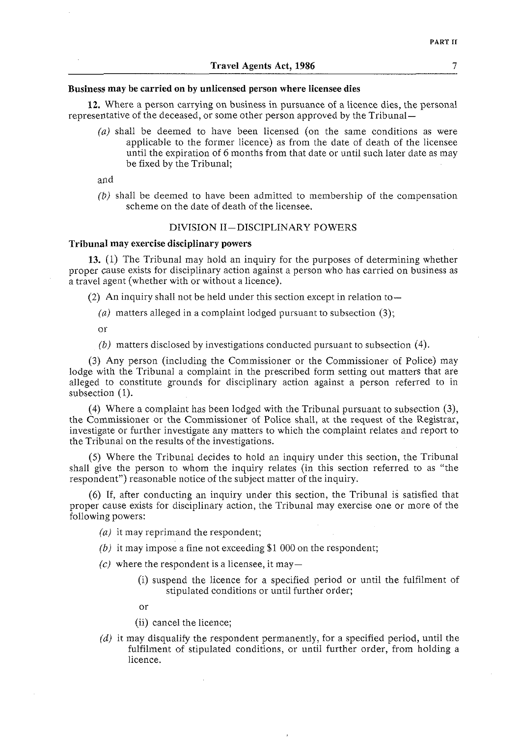# **Business may be carried on by unlicensed person where licensee dies**

**12.** Where a person carrying on business in pursuance of a licence dies, the personal representative of the deceased, or some other person approved by the Tribunal-

 $(a)$  shall be deemed to have been licensed (on the same conditions as were applicable to the foriner licence) as from the date of death of the licensee until the expiration of 6 months from that date or until such later date as may be fixed by the Tribunal;

and

*(b)* shall be deemed to have been admitted to membership of the compensation scheme on the date of death of the licensee.

# DIVISION 11-DISCIPLINARY POWERS

#### **Tribunal may exercise disciplinary powers**

**13.** (1) The Tribunal may hold an inquiry for the purposes of determining whether proper cause exists for disciplinary action against a person who has carried on business as a travel agent (whether with or without a licence).

(2) An inquiry shall not be held under this section except in relation to  $-$ 

(a) matters alleged in a complaint lodged pursuant to subsection  $(3)$ ;

or

*(bj* matters disclosed by investigations conducted pursuant to subsection (4).

(3) Any person (including the Commissioner or the Commissioner of Police) may lodge with the Tribunal a complaint in the prescribed form setting out matters that are alleged to constitute grounds for disciplinary action against a person referred to in subsection (1).

(4) Where a complaint has been lodged with the Tribunal pursuant to subsection (3), the Commissioner or the Commissioner of Police shall, at the request of the Registrar, investigate or further investigate any matters to which the complaint relates and report to the Tribunal on the results of the investigations.

(5) Where the Tribunal decides to hold an inquiry under this section, the Tribunal shall give the person to whom the inquiry relates (in this section referred to as "the respondent") reasonable notice of the subject matter of the inquiry.

(6) If, after conducting an inquiry under this section, the Tribunal is satisfied that proper cause exists for disciplinary action, the Tribunal may exercise one or more of the following powers:

- $(a)$  it may reprimand the respondent;
- *(b)* it may impose a fine not exceeding \$1 000 on the respondent;
- $(c)$  where the respondent is a licensee, it may-
	- (i) suspend the licence for a specified period or until the fulfilment of stipulated conditions or until further order;
	- or
	- (ii) cancel the licence;
- $(d)$  it may disqualify the respondent permanently, for a specified period, until the fulfilment of stipulated conditions, or until further order, from holding a licence.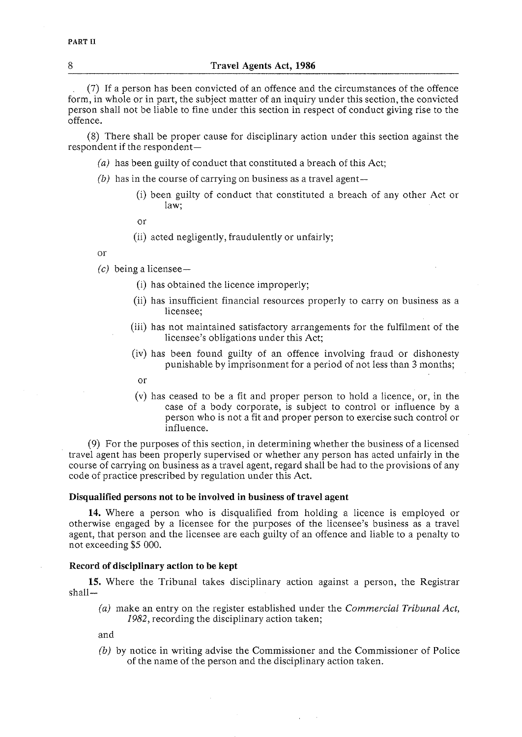#### 8 **Travel Agents Act, 1986**

(7) If a person has been convicted of an offence and the circumstances of the offence form, in whole or in part, the subject matter of an inquiry under this section, the convicted person shall not be liable to fine under this section in respect of conduct giving rise to the offence.

(8) There shall be proper cause for disciplinary action under this section against the respondent if the respondent-

- (a) has been guilty of conduct that constituted a breach of this Act;
- $(b)$  has in the course of carrying on business as a travel agent $-$ 
	- (i) been guilty of conduct that constituted a breach of any other Act or law;
	- or
	- (ii) acted negligently, fraudulently or unfairly;

or

*(c)* being a licensee-

- (i) has obtained the licence improperly;
- (ii) has insufficient financial resources properly to carry on business as a licensee;
- (iii) has not maintained satisfactory arrangements for the fulfilment of the licensee's obligations under this Act;
- (iv) has been found guilty of an offence involving fraud or dishonesty punishable by imprisonment for a period of not less than **3** months;
- or
- (v) has ceased to be a fit and proper person to hold a licence, or, in the case of a body corporate, is subject to control or influence by a person who is not a fit and proper person to exercise such control or influence.

(9) For the purposes of this section, in determining whether the business of a licensed travel agent has been properly supervised or whether any person has acted unfairly in the course of carrying on business as a travel agent, regard shall be had to the provisions of any code of practice prescribed by regulation under this Act.

#### **Disqualified persons not to be involved in business of travel agent**

14. Where a person who is disqualified from holding a licence is employed or otherwise engaged by a licensee for the purposes of the licensee's business as a travel agent, that person and the licensee are each guilty of an offence and liable to a penalty to not exceeding \$5 000.

### **Record of disciplinary action to be kept**

15. Where the Tribunal takes disciplinary action against a person, the Registrar shall-

*(a)* make an entry on the register established under the Commercial *Tribunal Act,*  1982, recording the disciplinary action taken;

and

*(bj* by notice in writing advise the Commissioner and the Commissioner of Police of the name of the person and the disciplinary action taken.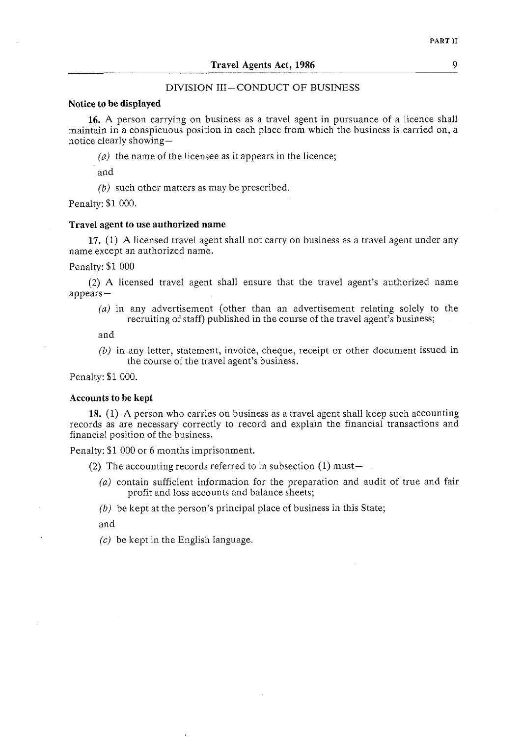# DIVISION 111-CONDUCT OF BUSINESS

#### **Notice to be displayed**

**16. A** person carrying on business as a travel agent in pursuance of a licence shall maintain in a conspicuous position in each place from which the business is carried on, a notice clearly showing-

 $(a)$  the name of the licensee as it appears in the licence;

and

*(b)* such other matters as may be prescribed.

Penalty: \$1 000.

### **Travel agent to use authorized name**

**17.** (1) **A** licensed travel agent shall not carry on business as a travel agent under any name except an authorized name.

Penalty: \$1 000

(2) A licensed travel agent shall ensure that the travel agent's authorized name appears-

 $(a)$  in any advertisement (other than an advertisement relating solely to the recruiting of staff) published in the course of the travel agent's business;

and

(b) in any letter, statement, invoice, cheque, receipt or other document issued in the course of the travel agent's business.

Penalty: \$1 000.

#### **Accounts to be kept**

**18.** (1) **A** person who carries on business as a travel agent shall keep such accounting records as are necessary correctly to record and explain the financial transactions and financial position of the business.

Penalty: \$1 000 or 6 months imprisonment.

(2) The accounting records referred to in subsection  $(1)$  must-

(a) contain sufficient information for the preparation and audit of true and fair profit and loss accounts and balance sheets;

 $(b)$  be kept at the person's principal place of business in this State;

and

 $(c)$  be kept in the English language.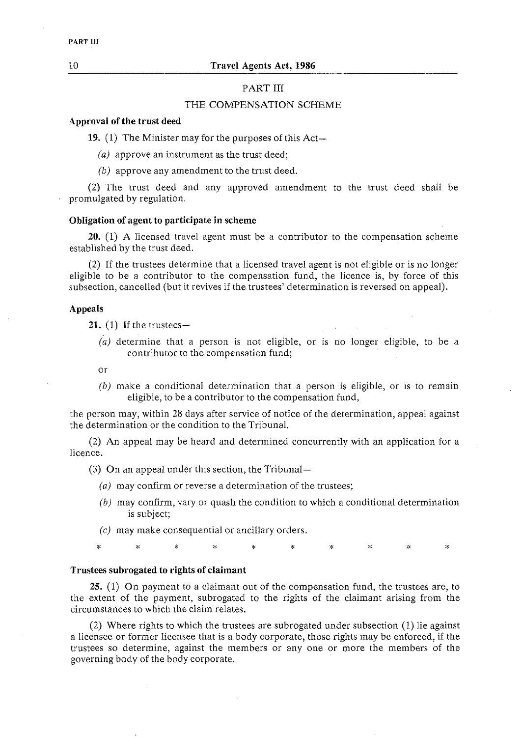# PART III

# THE COMPENSATION SCHEME

# **Approval of the trust deed**

**19.** (1) The Minister may for the purposes of this Act-

(a) approve an instrument as the trust deed;

(b) approve any amendment to the trust deed.

(2) The trust deed and any approved amendment to the trust deed shall be promulgated by regulation.

# **Obligation of agent to participate in scheme**

**20.** (1) A licensed travel agent must be a contributor to the compensation scheme established by the trust deed.

(2) If the trustees determine that a licensed travel agent is not eligible or is no longer eligible to be a contributor to the compensation fund, the licence is, by force of this subsection, cancelled (but it revives if the trustees' determination is reversed on appeal).

# **Appeals**

**21. (1)** If the trustees-

- (a) determine that a person is not eligible, or is no longer eligible, to be a contributor to the compensation fund;
- or
- *(b)* make a conditional determination that a person is eligible, or is to remain eligible, to be a contributor to the compensation fund,

the person may, within 28 days after service of notice of the determination, appeal against the determination or the condition to the Tribunal.

(2) An appeal may be heard and determined concurrently with an application for a licence.

(3) On an appeal under this section, the Tribunal-

- (a) may confirm or reverse a determination of the trustees;
- *(b)* may confirm, vary or quash the condition to which a conditional determination is subject;
- (c) may make consequential or ancillary orders.

#### **Trustees subrogated to rights of claimant**

 $\star$ 

 $\ast$ 

**25.** (1) On payment to a claimant out of the compensation fund, the trustees are, to the extent of the payment, subrogated to the rights of the claimant arising from the circumstances to which the claim relates.

 $\mathbf{z}$ 

(2) Where rights to which the trustees are subrogated under subsection (1) lie against a licensee or former licensee that is a body corporate, those rights may be enforced, if the trustees so determine, against the members or any one or more the members of the governing body of the body corporate.

PART III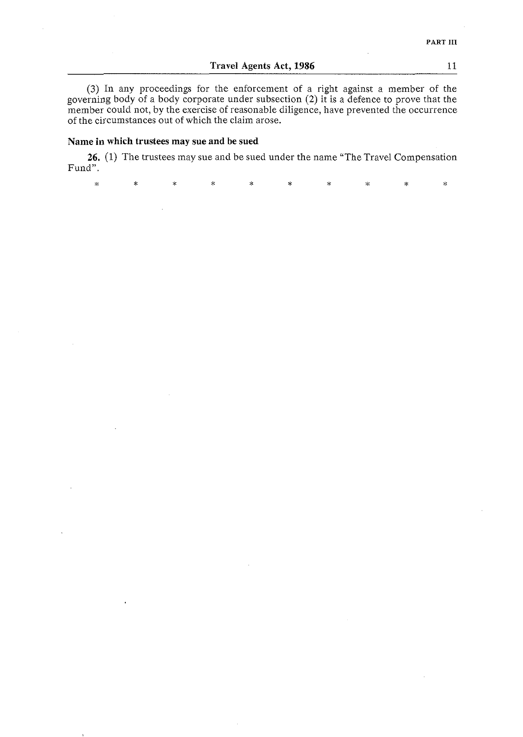# **Travel Agents Act, 1986** 11

**(3)** In any proceedings for the enforcement of a right against a member of the governing body of a body corporate under subsection (2) it is a defence to prove that the member could not, by the exercise of reasonable diligence, have prevented the occurrence of the circumstances out of which the claim arose.

# **Name in which trustees may sue and be sued**

**26.** (1) The trustees may sue and be sued under the name "The Travel Compensation Fund".

 $\ddot{\ast}$  $\star$  $\mathbf{r}$  $\star$  $\ast$ ž. ý.  $\mathbf{x}$  $\ddot{\ast}$  $\mathbf{x}$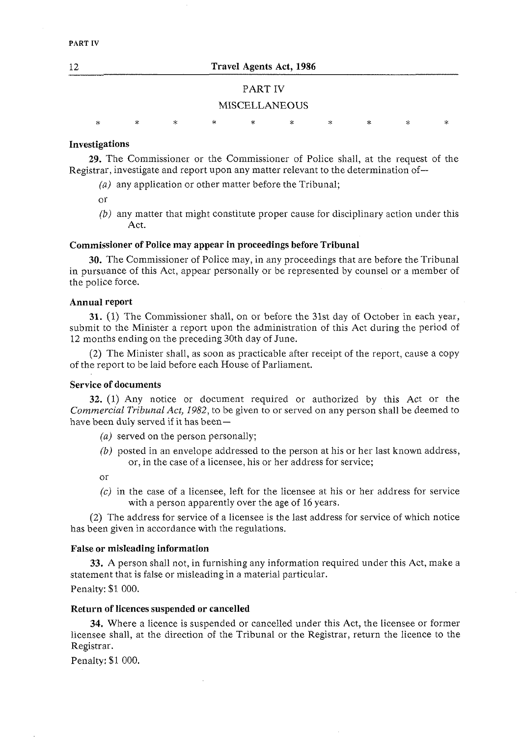# PART IV

### MISCELLANEOUS

j.  $\ddot{\mathbf{x}}$ sk. ä,

# **Investigations**

**29.** The Commissioner or the Commissioner of Police shall, at the request of the Registrar, investigate and report upon any matter relevant to the determination of-

- (a) any application or other matter before the Tribunal;
- or
- *(b)* any matter that might constitute proper cause for disciplinary action under this Act.

# **Commissioner of Police may appear in proceedings before Tribunal**

**30.** The Commissioner of Police may, in any proceedings that are before the Tribunal in pursuance of this Act, appear personally or be represented by counsel or a member of the police force.

#### **Annual report**

**31.** (1) The Commissioner shall, on or before the 31st day of October in each year, submit to the Minister a report upon the administration of this Act during the period of 12 months ending on the preceding 30th day of June.

(2) The Minister shall, as soon as practicable after receipt of the report, cause a copy of the report to be laid before each House of Parliament.

# **Service of documents**

**32.** (1) Any notice or document required or authorized by this Act or the *Commercial Tribunal Act, 1982,* to be given to or served on any person shall be deemed to have been duly served if it has been-

- *(a)* served on the person personally;
- *(b)* posted in an envelope addressed to the person at his or her last known address, or, in the case of a licensee, his or her address for service;

or

 $(c)$  in the case of a licensee, left for the licensee at his or her address for service with a person apparently over the age of 16 years.

(2) The address for service of a licensee is the last address for service of which notice has been given in accordance with the regulations.

#### **False or misleading information**

**33.** A person shall not, in furnishing any information required under this Act, make a statement that is false or misleading in a material particular. Penalty: \$1 000.

## **Return of licences suspended or cancelled**

**34.** Where a licence is suspended or cancelled under this Act, the licensee or former licensee shall, at the direction of the Tribunal or the Registrar, return the licence to the Registrar.

Penalty: \$1 000,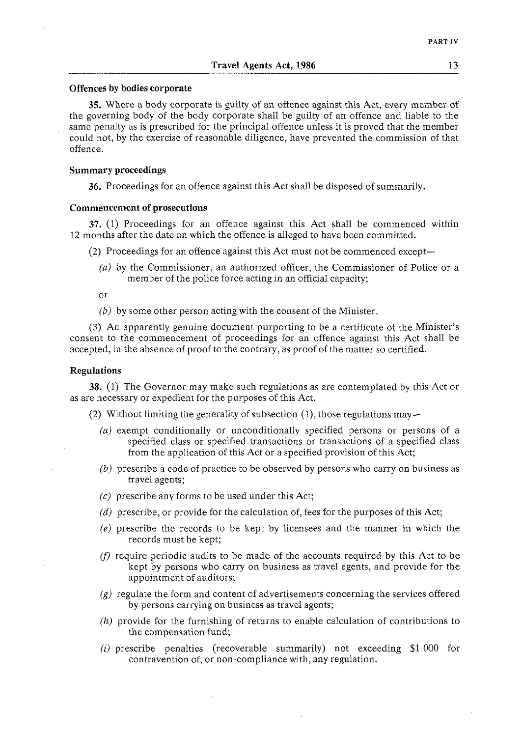#### **Offences by bodies corporate**

**35.** Where a body corporate is guilty of an offence against this Act, every member of the governing body of the body corporate shall be guilty of an offence and liable to the same penalty as is prescribed for the principal offence unless it is proved that the member could not, by the exercise of reasonable diligence, have prevented the commission of that offence.

### **Summary proceedings**

**36.** Proceedings for an offence against this Act shall be disposed of summarily.

# **Commencement of prosecutions**

**37.** (1) Proceedings for an offence against this Act shall be commenced within 12 monrhs after the date on which the offence is alleged to have been committed.

- (2) Proceedings for an offence against this Act must not be commenced except-
	- *(11)* by the Commissioner, an authorized officer, the Commissioner of Police or a member of the police force acting in an official capacity;

or

*(b)* by some other person acting with the consent of the Minister.

(3) An apparently genuine document purporting to be a certificate of the Minister's consent to the commencement of proceedings for an offence against this Act shall be accepted, in the absence of proof to the contrary, as proof of the matter so certified.

# **Regulations**

**38.** (1) The Governor may make such regulations as are contemplated by this Act or as are necessary or expedient for the purposes of this Act.

- (2) Without limiting the generality of subsection  $(1)$ , those regulations may-
	- (a) exempt conditionally or unconditionally specified persons or persons of a specified class or specified transactions or transactions of a specified class from the application of this Act or a specified provision of this Act;
	- *(b)* prescribe a code of practice to be observed by persons who carry on business as travel agents;
	- (c) prescribe any forms to be used under this Act;
	- (d) prescribe, or provide for the calculation of, fees for the purposes of this Act;
	- (e) prescribe the records to be kept by licensees and the manner in which the records must be kept;
	- $(f)$  require periodic audits to be made of the accounts required by this Act to be kept by persons who carry on business as travel agents, and provide for the appointment of auditors;
	- $(g)$  regulate the form and content of advertisements concerning the services offered by persons carrying on business as travel agents;
	- (h) provide for the furnishing of returns to enable calculation of contributions to the compensation fund;
	- **(i)** prescribe penalties (recoverable summarily) not exceeding \$1 000 for contravention of, or non-compliance with, any regulation.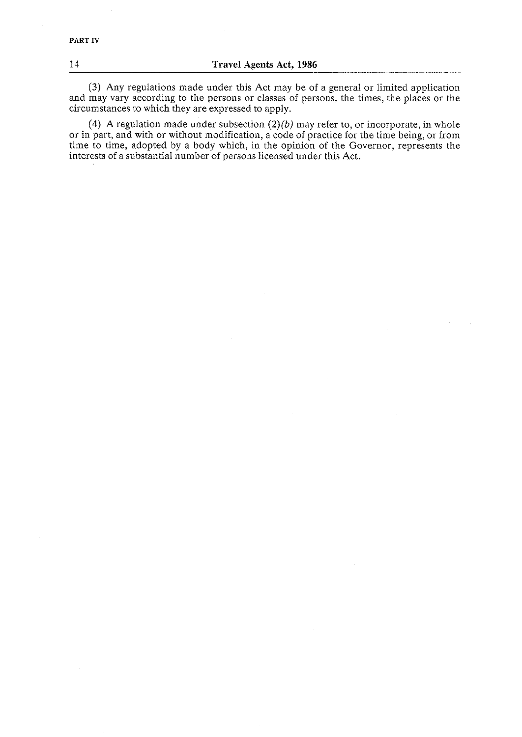# 14 **Travel Agents Act, 1986**

**(3)** Any regulations made under this Act may be of a general or limited application and may vary according to the persons or classes of persons, the times, the places or the circumstances to which they are expressed to apply.

(4) A regulation made under subsection *(2)(b)* may refer to, or incorporate, in whole or in part, and with or without modification, a code of practice for the time being, or from time to time, adopted by a body which, in the opinion of the Governor, represents the interests of a substantial number of persons licensed under this Act.